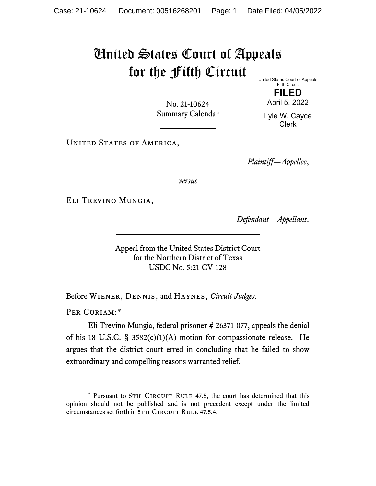## United States Court of Appeals for the Fifth Circuit

United States Court of Appeals Fifth Circuit

> **FILED** April 5, 2022

No. 21-10624 Summary Calendar

Lyle W. Cayce Clerk

UNITED STATES OF AMERICA,

*Plaintiff—Appellee*,

*versus*

Eli Trevino Mungia,

*Defendant—Appellant*.

Appeal from the United States District Court for the Northern District of Texas USDC No. 5:21-CV-128

Before Wiener, Dennis, and Haynes, *Circuit Judges*.

PER CURIAM:[\\*](#page-0-0)

Eli Trevino Mungia, federal prisoner # 26371-077, appeals the denial of his 18 U.S.C. § 3582(c)(1)(A) motion for compassionate release. He argues that the district court erred in concluding that he failed to show extraordinary and compelling reasons warranted relief.

<span id="page-0-0"></span><sup>\*</sup> Pursuant to 5TH CIRCUIT RULE 47.5, the court has determined that this opinion should not be published and is not precedent except under the limited circumstances set forth in 5TH CIRCUIT RULE 47.5.4.